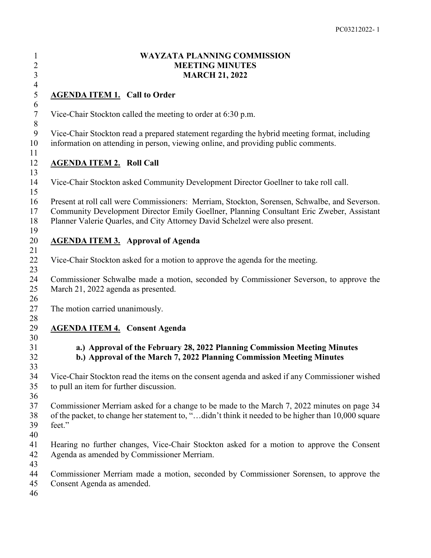### **WAYZATA PLANNING COMMISSION** 2 MEETING MINUTES<br>3 MARCH 21, 2022 **MARCH 21, 2022**

# **AGENDA ITEM 1. Call to Order**

Vice-Chair Stockton called the meeting to order at 6:30 p.m.

 Vice-Chair Stockton read a prepared statement regarding the hybrid meeting format, including information on attending in person, viewing online, and providing public comments.

# **AGENDA ITEM 2. Roll Call**

 Vice-Chair Stockton asked Community Development Director Goellner to take roll call. 

 Present at roll call were Commissioners: Merriam, Stockton, Sorensen, Schwalbe, and Severson. Community Development Director Emily Goellner, Planning Consultant Eric Zweber, Assistant Planner Valerie Quarles, and City Attorney David Schelzel were also present.

# **AGENDA ITEM 3. Approval of Agenda**

 $\frac{4}{5}$ 

Vice-Chair Stockton asked for a motion to approve the agenda for the meeting.

 Commissioner Schwalbe made a motion, seconded by Commissioner Severson, to approve the March 21, 2022 agenda as presented.

The motion carried unanimously.

# **AGENDA ITEM 4. Consent Agenda**

#### **a.) Approval of the February 28, 2022 Planning Commission Meeting Minutes b.) Approval of the March 7, 2022 Planning Commission Meeting Minutes**

 Vice-Chair Stockton read the items on the consent agenda and asked if any Commissioner wished to pull an item for further discussion.

 Commissioner Merriam asked for a change to be made to the March 7, 2022 minutes on page 34 of the packet, to change her statement to, "…didn't think it needed to be higher than 10,000 square feet."

- 
- Hearing no further changes, Vice-Chair Stockton asked for a motion to approve the Consent Agenda as amended by Commissioner Merriam.
- 
- Commissioner Merriam made a motion, seconded by Commissioner Sorensen, to approve the
- Consent Agenda as amended.
-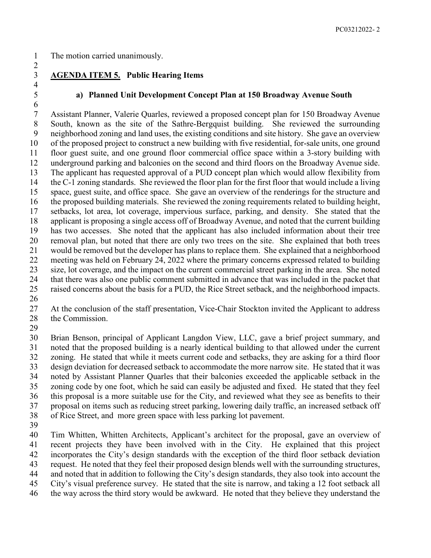$\frac{4}{5}$ 

# **AGENDA ITEM 5. Public Hearing Items**

#### **a) Planned Unit Development Concept Plan at 150 Broadway Avenue South**

 Assistant Planner, Valerie Quarles, reviewed a proposed concept plan for 150 Broadway Avenue South, known as the site of the Sathre-Bergquist building. She reviewed the surrounding neighborhood zoning and land uses, the existing conditions and site history. She gave an overview of the proposed project to construct a new building with five residential, for-sale units, one ground floor guest suite, and one ground floor commercial office space within a 3-story building with underground parking and balconies on the second and third floors on the Broadway Avenue side. The applicant has requested approval of a PUD concept plan which would allow flexibility from the C-1 zoning standards. She reviewed the floor plan for the first floor that would include a living space, guest suite, and office space. She gave an overview of the renderings for the structure and the proposed building materials. She reviewed the zoning requirements related to building height, setbacks, lot area, lot coverage, impervious surface, parking, and density. She stated that the applicant is proposing a single access off of Broadway Avenue, and noted that the current building has two accesses. She noted that the applicant has also included information about their tree removal plan, but noted that there are only two trees on the site. She explained that both trees would be removed but the developer has plans to replace them. She explained that a neighborhood meeting was held on February 24, 2022 where the primary concerns expressed related to building size, lot coverage, and the impact on the current commercial street parking in the area. She noted that there was also one public comment submitted in advance that was included in the packet that raised concerns about the basis for a PUD, the Rice Street setback, and the neighborhood impacts.

 At the conclusion of the staff presentation, Vice-Chair Stockton invited the Applicant to address 28 the Commission.

 Brian Benson, principal of Applicant Langdon View, LLC, gave a brief project summary, and noted that the proposed building is a nearly identical building to that allowed under the current zoning. He stated that while it meets current code and setbacks, they are asking for a third floor design deviation for decreased setback to accommodate the more narrow site. He stated that it was noted by Assistant Planner Quarles that their balconies exceeded the applicable setback in the zoning code by one foot, which he said can easily be adjusted and fixed. He stated that they feel this proposal is a more suitable use for the City, and reviewed what they see as benefits to their proposal on items such as reducing street parking, lowering daily traffic, an increased setback off of Rice Street, and more green space with less parking lot pavement.

 Tim Whitten, Whitten Architects, Applicant's architect for the proposal, gave an overview of recent projects they have been involved with in the City. He explained that this project incorporates the City's design standards with the exception of the third floor setback deviation request. He noted that they feel their proposed design blends well with the surrounding structures, and noted that in addition to following the City's design standards, they also took into account the City's visual preference survey. He stated that the site is narrow, and taking a 12 foot setback all

the way across the third story would be awkward. He noted that they believe they understand the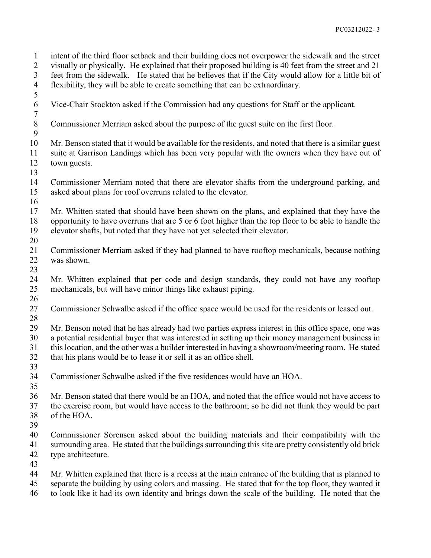intent of the third floor setback and their building does not overpower the sidewalk and the street visually or physically. He explained that their proposed building is 40 feet from the street and 21 feet from the sidewalk. He stated that he believes that if the City would allow for a little bit of flexibility, they will be able to create something that can be extraordinary. Vice-Chair Stockton asked if the Commission had any questions for Staff or the applicant. Commissioner Merriam asked about the purpose of the guest suite on the first floor. Mr. Benson stated that it would be available for the residents, and noted that there is a similar guest suite at Garrison Landings which has been very popular with the owners when they have out of town guests. Commissioner Merriam noted that there are elevator shafts from the underground parking, and asked about plans for roof overruns related to the elevator. Mr. Whitten stated that should have been shown on the plans, and explained that they have the opportunity to have overruns that are 5 or 6 foot higher than the top floor to be able to handle the elevator shafts, but noted that they have not yet selected their elevator. Commissioner Merriam asked if they had planned to have rooftop mechanicals, because nothing was shown. Mr. Whitten explained that per code and design standards, they could not have any rooftop mechanicals, but will have minor things like exhaust piping. Commissioner Schwalbe asked if the office space would be used for the residents or leased out. Mr. Benson noted that he has already had two parties express interest in this office space, one was a potential residential buyer that was interested in setting up their money management business in this location, and the other was a builder interested in having a showroom/meeting room. He stated that his plans would be to lease it or sell it as an office shell. Commissioner Schwalbe asked if the five residences would have an HOA. Mr. Benson stated that there would be an HOA, and noted that the office would not have access to the exercise room, but would have access to the bathroom; so he did not think they would be part of the HOA. Commissioner Sorensen asked about the building materials and their compatibility with the surrounding area. He stated that the buildings surrounding this site are pretty consistently old brick type architecture. Mr. Whitten explained that there is a recess at the main entrance of the building that is planned to separate the building by using colors and massing. He stated that for the top floor, they wanted it

to look like it had its own identity and brings down the scale of the building. He noted that the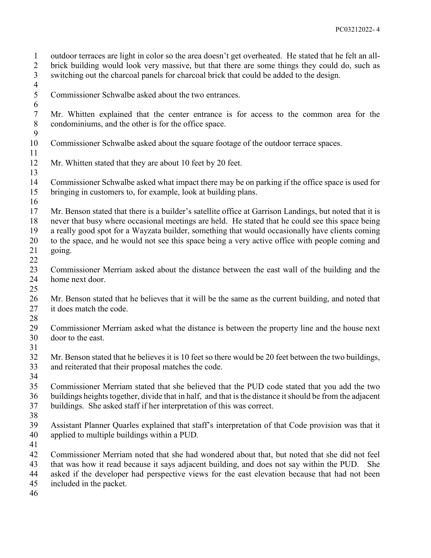outdoor terraces are light in color so the area doesn't get overheated. He stated that he felt an all- brick building would look very massive, but that there are some things they could do, such as switching out the charcoal panels for charcoal brick that could be added to the design.

 $\frac{4}{5}$ 

Commissioner Schwalbe asked about the two entrances.

 Mr. Whitten explained that the center entrance is for access to the common area for the condominiums, and the other is for the office space. 

- Commissioner Schwalbe asked about the square footage of the outdoor terrace spaces.
- 12 Mr. Whitten stated that they are about 10 feet by 20 feet.

 Commissioner Schwalbe asked what impact there may be on parking if the office space is used for bringing in customers to, for example, look at building plans.

 Mr. Benson stated that there is a builder's satellite office at Garrison Landings, but noted that it is never that busy where occasional meetings are held. He stated that he could see this space being a really good spot for a Wayzata builder, something that would occasionally have clients coming to the space, and he would not see this space being a very active office with people coming and

- going.
- 

 Commissioner Merriam asked about the distance between the east wall of the building and the home next door.

- Mr. Benson stated that he believes that it will be the same as the current building, and noted that 27 it does match the code.
- Commissioner Merriam asked what the distance is between the property line and the house next door to the east.
- 

 Mr. Benson stated that he believes it is 10 feet so there would be 20 feet between the two buildings, and reiterated that their proposal matches the code.

- Commissioner Merriam stated that she believed that the PUD code stated that you add the two buildings heights together, divide that in half, and that is the distance it should be from the adjacent buildings. She asked staff if her interpretation of this was correct.
- 
- Assistant Planner Quarles explained that staff's interpretation of that Code provision was that it applied to multiple buildings within a PUD.
- 

 Commissioner Merriam noted that she had wondered about that, but noted that she did not feel that was how it read because it says adjacent building, and does not say within the PUD. She

asked if the developer had perspective views for the east elevation because that had not been

- included in the packet.
-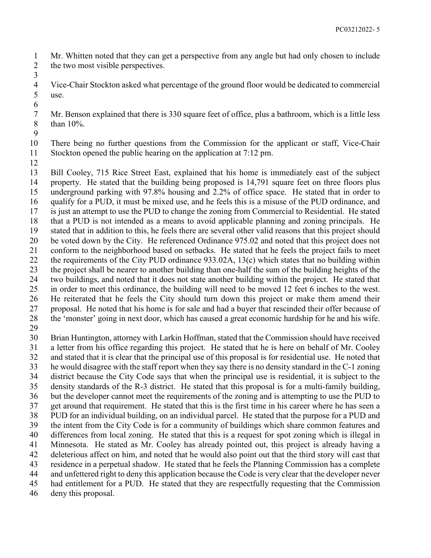Mr. Whitten noted that they can get a perspective from any angle but had only chosen to include 2 the two most visible perspectives. 

 Vice-Chair Stockton asked what percentage of the ground floor would be dedicated to commercial use. 

 Mr. Benson explained that there is 330 square feet of office, plus a bathroom, which is a little less than 10%.

 There being no further questions from the Commission for the applicant or staff, Vice-Chair Stockton opened the public hearing on the application at 7:12 pm.

 Bill Cooley, 715 Rice Street East, explained that his home is immediately east of the subject property. He stated that the building being proposed is 14,791 square feet on three floors plus underground parking with 97.8% housing and 2.2% of office space. He stated that in order to qualify for a PUD, it must be mixed use, and he feels this is a misuse of the PUD ordinance, and is just an attempt to use the PUD to change the zoning from Commercial to Residential. He stated that a PUD is not intended as a means to avoid applicable planning and zoning principals. He stated that in addition to this, he feels there are several other valid reasons that this project should be voted down by the City. He referenced Ordinance 975.02 and noted that this project does not conform to the neighborhood based on setbacks. He stated that he feels the project fails to meet the requirements of the City PUD ordinance 933.02A, 13(c) which states that no building within the project shall be nearer to another building than one-half the sum of the building heights of the two buildings, and noted that it does not state another building within the project. He stated that in order to meet this ordinance, the building will need to be moved 12 feet 6 inches to the west. He reiterated that he feels the City should turn down this project or make them amend their proposal. He noted that his home is for sale and had a buyer that rescinded their offer because of the 'monster' going in next door, which has caused a great economic hardship for he and his wife. 

 Brian Huntington, attorney with Larkin Hoffman, stated that the Commission should have received a letter from his office regarding this project. He stated that he is here on behalf of Mr. Cooley and stated that it is clear that the principal use of this proposal is for residential use. He noted that he would disagree with the staff report when they say there is no density standard in the C-1 zoning district because the City Code says that when the principal use is residential, it is subject to the density standards of the R-3 district. He stated that this proposal is for a multi-family building, but the developer cannot meet the requirements of the zoning and is attempting to use the PUD to get around that requirement. He stated that this is the first time in his career where he has seen a PUD for an individual building, on an individual parcel. He stated that the purpose for a PUD and the intent from the City Code is for a community of buildings which share common features and differences from local zoning. He stated that this is a request for spot zoning which is illegal in Minnesota. He stated as Mr. Cooley has already pointed out, this project is already having a deleterious affect on him, and noted that he would also point out that the third story will cast that residence in a perpetual shadow. He stated that he feels the Planning Commission has a complete and unfettered right to deny this application because the Code is very clear that the developer never had entitlement for a PUD. He stated that they are respectfully requesting that the Commission

deny this proposal.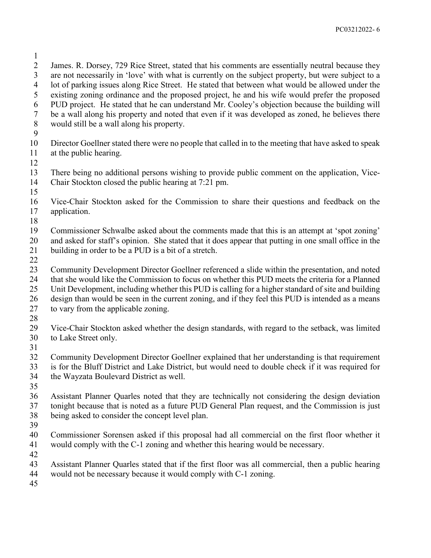James. R. Dorsey, 729 Rice Street, stated that his comments are essentially neutral because they are not necessarily in 'love' with what is currently on the subject property, but were subject to a lot of parking issues along Rice Street. He stated that between what would be allowed under the existing zoning ordinance and the proposed project, he and his wife would prefer the proposed PUD project. He stated that he can understand Mr. Cooley's objection because the building will be a wall along his property and noted that even if it was developed as zoned, he believes there would still be a wall along his property. Director Goellner stated there were no people that called in to the meeting that have asked to speak at the public hearing. There being no additional persons wishing to provide public comment on the application, Vice- Chair Stockton closed the public hearing at 7:21 pm. Vice-Chair Stockton asked for the Commission to share their questions and feedback on the application. Commissioner Schwalbe asked about the comments made that this is an attempt at 'spot zoning' and asked for staff's opinion. She stated that it does appear that putting in one small office in the building in order to be a PUD is a bit of a stretch. Community Development Director Goellner referenced a slide within the presentation, and noted that she would like the Commission to focus on whether this PUD meets the criteria for a Planned Unit Development, including whether this PUD is calling for a higher standard of site and building design than would be seen in the current zoning, and if they feel this PUD is intended as a means to vary from the applicable zoning. Vice-Chair Stockton asked whether the design standards, with regard to the setback, was limited to Lake Street only. Community Development Director Goellner explained that her understanding is that requirement is for the Bluff District and Lake District, but would need to double check if it was required for the Wayzata Boulevard District as well. Assistant Planner Quarles noted that they are technically not considering the design deviation tonight because that is noted as a future PUD General Plan request, and the Commission is just being asked to consider the concept level plan. Commissioner Sorensen asked if this proposal had all commercial on the first floor whether it would comply with the C-1 zoning and whether this hearing would be necessary. Assistant Planner Quarles stated that if the first floor was all commercial, then a public hearing would not be necessary because it would comply with C-1 zoning.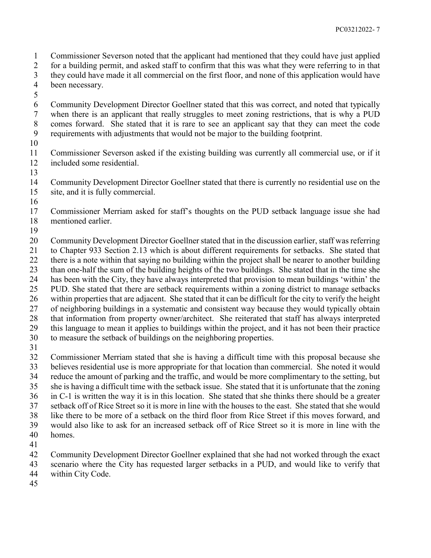Commissioner Severson noted that the applicant had mentioned that they could have just applied

for a building permit, and asked staff to confirm that this was what they were referring to in that

- they could have made it all commercial on the first floor, and none of this application would have been necessary.
- 

 Community Development Director Goellner stated that this was correct, and noted that typically when there is an applicant that really struggles to meet zoning restrictions, that is why a PUD comes forward. She stated that it is rare to see an applicant say that they can meet the code requirements with adjustments that would not be major to the building footprint.

 Commissioner Severson asked if the existing building was currently all commercial use, or if it included some residential.

 Community Development Director Goellner stated that there is currently no residential use on the site, and it is fully commercial.

 Commissioner Merriam asked for staff's thoughts on the PUD setback language issue she had mentioned earlier.

 Community Development Director Goellner stated that in the discussion earlier, staff was referring to Chapter 933 Section 2.13 which is about different requirements for setbacks. She stated that there is a note within that saying no building within the project shall be nearer to another building than one-half the sum of the building heights of the two buildings. She stated that in the time she has been with the City, they have always interpreted that provision to mean buildings 'within' the PUD. She stated that there are setback requirements within a zoning district to manage setbacks within properties that are adjacent. She stated that it can be difficult for the city to verify the height of neighboring buildings in a systematic and consistent way because they would typically obtain that information from property owner/architect. She reiterated that staff has always interpreted this language to mean it applies to buildings within the project, and it has not been their practice to measure the setback of buildings on the neighboring properties.

 Commissioner Merriam stated that she is having a difficult time with this proposal because she believes residential use is more appropriate for that location than commercial. She noted it would reduce the amount of parking and the traffic, and would be more complimentary to the setting, but she is having a difficult time with the setback issue. She stated that it is unfortunate that the zoning in C-1 is written the way it is in this location. She stated that she thinks there should be a greater setback off of Rice Street so it is more in line with the houses to the east. She stated that she would like there to be more of a setback on the third floor from Rice Street if this moves forward, and would also like to ask for an increased setback off of Rice Street so it is more in line with the homes.

Community Development Director Goellner explained that she had not worked through the exact

scenario where the City has requested larger setbacks in a PUD, and would like to verify that

- within City Code.
-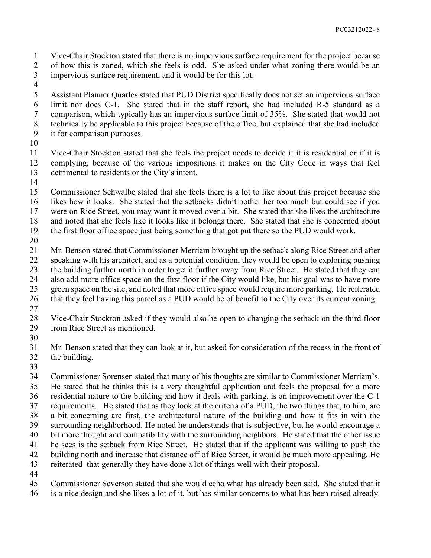Vice-Chair Stockton stated that there is no impervious surface requirement for the project because of how this is zoned, which she feels is odd. She asked under what zoning there would be an impervious surface requirement, and it would be for this lot.

 Assistant Planner Quarles stated that PUD District specifically does not set an impervious surface limit nor does C-1. She stated that in the staff report, she had included R-5 standard as a comparison, which typically has an impervious surface limit of 35%. She stated that would not technically be applicable to this project because of the office, but explained that she had included it for comparison purposes.

 Vice-Chair Stockton stated that she feels the project needs to decide if it is residential or if it is complying, because of the various impositions it makes on the City Code in ways that feel detrimental to residents or the City's intent.

 Commissioner Schwalbe stated that she feels there is a lot to like about this project because she likes how it looks. She stated that the setbacks didn't bother her too much but could see if you were on Rice Street, you may want it moved over a bit. She stated that she likes the architecture and noted that she feels like it looks like it belongs there. She stated that she is concerned about the first floor office space just being something that got put there so the PUD would work.

 Mr. Benson stated that Commissioner Merriam brought up the setback along Rice Street and after speaking with his architect, and as a potential condition, they would be open to exploring pushing the building further north in order to get it further away from Rice Street. He stated that they can also add more office space on the first floor if the City would like, but his goal was to have more green space on the site, and noted that more office space would require more parking. He reiterated

- that they feel having this parcel as a PUD would be of benefit to the City over its current zoning.
- Vice-Chair Stockton asked if they would also be open to changing the setback on the third floor from Rice Street as mentioned.
- 

 Mr. Benson stated that they can look at it, but asked for consideration of the recess in the front of the building.

 Commissioner Sorensen stated that many of his thoughts are similar to Commissioner Merriam's. He stated that he thinks this is a very thoughtful application and feels the proposal for a more residential nature to the building and how it deals with parking, is an improvement over the C-1 requirements. He stated that as they look at the criteria of a PUD, the two things that, to him, are a bit concerning are first, the architectural nature of the building and how it fits in with the surrounding neighborhood. He noted he understands that is subjective, but he would encourage a bit more thought and compatibility with the surrounding neighbors. He stated that the other issue he sees is the setback from Rice Street. He stated that if the applicant was willing to push the building north and increase that distance off of Rice Street, it would be much more appealing. He reiterated that generally they have done a lot of things well with their proposal. 

 Commissioner Severson stated that she would echo what has already been said. She stated that it is a nice design and she likes a lot of it, but has similar concerns to what has been raised already.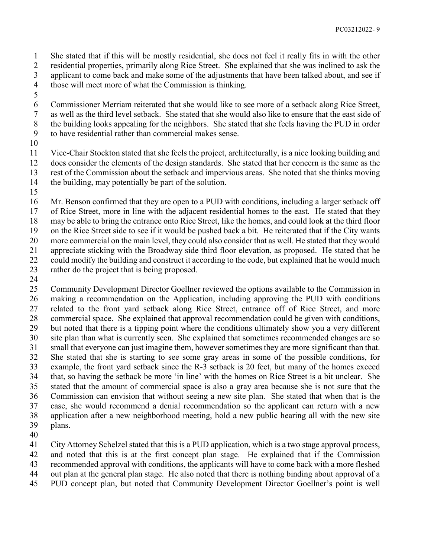She stated that if this will be mostly residential, she does not feel it really fits in with the other residential properties, primarily along Rice Street. She explained that she was inclined to ask the applicant to come back and make some of the adjustments that have been talked about, and see if those will meet more of what the Commission is thinking.

 Commissioner Merriam reiterated that she would like to see more of a setback along Rice Street, as well as the third level setback. She stated that she would also like to ensure that the east side of the building looks appealing for the neighbors. She stated that she feels having the PUD in order to have residential rather than commercial makes sense.

 Vice-Chair Stockton stated that she feels the project, architecturally, is a nice looking building and does consider the elements of the design standards. She stated that her concern is the same as the rest of the Commission about the setback and impervious areas. She noted that she thinks moving the building, may potentially be part of the solution.

 Mr. Benson confirmed that they are open to a PUD with conditions, including a larger setback off of Rice Street, more in line with the adjacent residential homes to the east. He stated that they may be able to bring the entrance onto Rice Street, like the homes, and could look at the third floor on the Rice Street side to see if it would be pushed back a bit. He reiterated that if the City wants more commercial on the main level, they could also consider that as well. He stated that they would appreciate sticking with the Broadway side third floor elevation, as proposed. He stated that he 22 could modify the building and construct it according to the code, but explained that he would much rather do the project that is being proposed.

 Community Development Director Goellner reviewed the options available to the Commission in making a recommendation on the Application, including approving the PUD with conditions related to the front yard setback along Rice Street, entrance off of Rice Street, and more commercial space. She explained that approval recommendation could be given with conditions, but noted that there is a tipping point where the conditions ultimately show you a very different site plan than what is currently seen. She explained that sometimes recommended changes are so small that everyone can just imagine them, however sometimes they are more significant than that. She stated that she is starting to see some gray areas in some of the possible conditions, for example, the front yard setback since the R-3 setback is 20 feet, but many of the homes exceed that, so having the setback be more 'in line' with the homes on Rice Street is a bit unclear. She stated that the amount of commercial space is also a gray area because she is not sure that the Commission can envision that without seeing a new site plan. She stated that when that is the case, she would recommend a denial recommendation so the applicant can return with a new application after a new neighborhood meeting, hold a new public hearing all with the new site plans.

City Attorney Schelzel stated that this is a PUD application, which is a two stage approval process,

and noted that this is at the first concept plan stage. He explained that if the Commission

recommended approval with conditions, the applicants will have to come back with a more fleshed

out plan at the general plan stage. He also noted that there is nothing binding about approval of a

PUD concept plan, but noted that Community Development Director Goellner's point is well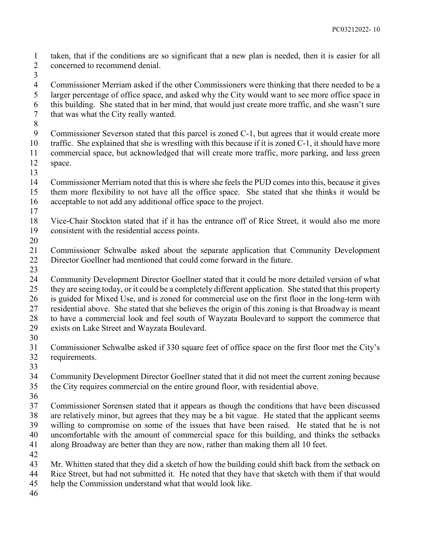taken, that if the conditions are so significant that a new plan is needed, then it is easier for all concerned to recommend denial.

 Commissioner Merriam asked if the other Commissioners were thinking that there needed to be a larger percentage of office space, and asked why the City would want to see more office space in this building. She stated that in her mind, that would just create more traffic, and she wasn't sure that was what the City really wanted.

Commissioner Severson stated that this parcel is zoned C-1, but agrees that it would create more

- 10 traffic. She explained that she is wrestling with this because if it is zoned C-1, it should have more commercial space, but acknowledged that will create more traffic, more parking, and less green space.
- 

 Commissioner Merriam noted that this is where she feels the PUD comes into this, because it gives them more flexibility to not have all the office space. She stated that she thinks it would be acceptable to not add any additional office space to the project.

- 
- Vice-Chair Stockton stated that if it has the entrance off of Rice Street, it would also me more consistent with the residential access points.
- 

 Commissioner Schwalbe asked about the separate application that Community Development Director Goellner had mentioned that could come forward in the future.

 Community Development Director Goellner stated that it could be more detailed version of what they are seeing today, or it could be a completely different application. She stated that this property is guided for Mixed Use, and is zoned for commercial use on the first floor in the long-term with residential above. She stated that she believes the origin of this zoning is that Broadway is meant to have a commercial look and feel south of Wayzata Boulevard to support the commerce that exists on Lake Street and Wayzata Boulevard.

 Commissioner Schwalbe asked if 330 square feet of office space on the first floor met the City's requirements.

 Community Development Director Goellner stated that it did not meet the current zoning because the City requires commercial on the entire ground floor, with residential above.

 Commissioner Sorensen stated that it appears as though the conditions that have been discussed are relatively minor, but agrees that they may be a bit vague. He stated that the applicant seems willing to compromise on some of the issues that have been raised. He stated that he is not uncomfortable with the amount of commercial space for this building, and thinks the setbacks along Broadway are better than they are now, rather than making them all 10 feet.

Mr. Whitten stated that they did a sketch of how the building could shift back from the setback on

- Rice Street, but had not submitted it. He noted that they have that sketch with them if that would
- help the Commission understand what that would look like.
-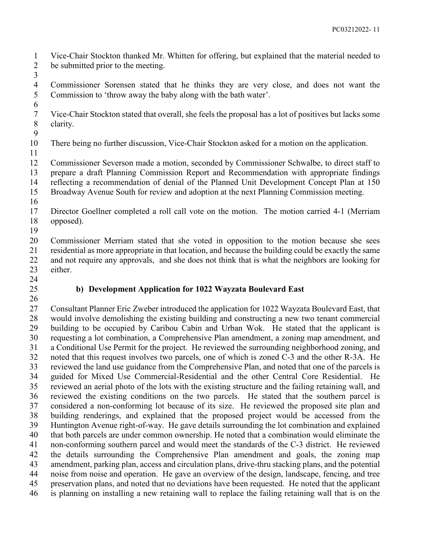Vice-Chair Stockton thanked Mr. Whitten for offering, but explained that the material needed to be submitted prior to the meeting.

 Commissioner Sorensen stated that he thinks they are very close, and does not want the Commission to 'throw away the baby along with the bath water'.

 Vice-Chair Stockton stated that overall, she feels the proposal has a lot of positives but lacks some clarity.

There being no further discussion, Vice-Chair Stockton asked for a motion on the application.

 Commissioner Severson made a motion, seconded by Commissioner Schwalbe, to direct staff to prepare a draft Planning Commission Report and Recommendation with appropriate findings reflecting a recommendation of denial of the Planned Unit Development Concept Plan at 150

Broadway Avenue South for review and adoption at the next Planning Commission meeting.

 Director Goellner completed a roll call vote on the motion. The motion carried 4-1 (Merriam opposed).

 Commissioner Merriam stated that she voted in opposition to the motion because she sees residential as more appropriate in that location, and because the building could be exactly the same and not require any approvals, and she does not think that is what the neighbors are looking for either.

# **b) Development Application for 1022 Wayzata Boulevard East**

 Consultant Planner Eric Zweber introduced the application for 1022 Wayzata Boulevard East, that would involve demolishing the existing building and constructing a new two tenant commercial building to be occupied by Caribou Cabin and Urban Wok. He stated that the applicant is requesting a lot combination, a Comprehensive Plan amendment, a zoning map amendment, and a Conditional Use Permit for the project. He reviewed the surrounding neighborhood zoning, and noted that this request involves two parcels, one of which is zoned C-3 and the other R-3A. He reviewed the land use guidance from the Comprehensive Plan, and noted that one of the parcels is guided for Mixed Use Commercial-Residential and the other Central Core Residential. He reviewed an aerial photo of the lots with the existing structure and the failing retaining wall, and reviewed the existing conditions on the two parcels. He stated that the southern parcel is considered a non-conforming lot because of its size. He reviewed the proposed site plan and building renderings, and explained that the proposed project would be accessed from the Huntington Avenue right-of-way. He gave details surrounding the lot combination and explained that both parcels are under common ownership. He noted that a combination would eliminate the non-conforming southern parcel and would meet the standards of the C-3 district. He reviewed the details surrounding the Comprehensive Plan amendment and goals, the zoning map amendment, parking plan, access and circulation plans, drive-thru stacking plans, and the potential noise from noise and operation. He gave an overview of the design, landscape, fencing, and tree preservation plans, and noted that no deviations have been requested. He noted that the applicant is planning on installing a new retaining wall to replace the failing retaining wall that is on the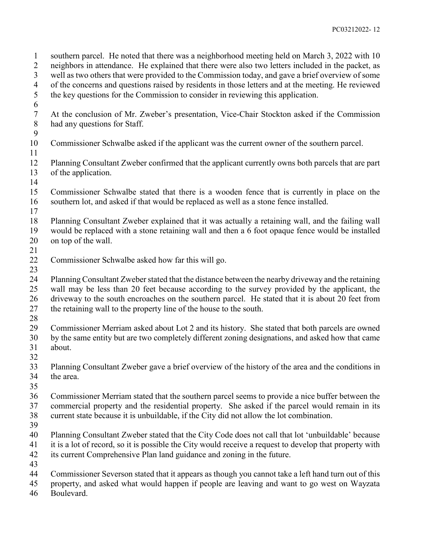southern parcel. He noted that there was a neighborhood meeting held on March 3, 2022 with 10 neighbors in attendance. He explained that there were also two letters included in the packet, as well as two others that were provided to the Commission today, and gave a brief overview of some 4 of the concerns and questions raised by residents in those letters and at the meeting. He reviewed<br>5 the key questions for the Commission to consider in reviewing this application. the key questions for the Commission to consider in reviewing this application. At the conclusion of Mr. Zweber's presentation, Vice-Chair Stockton asked if the Commission had any questions for Staff. Commissioner Schwalbe asked if the applicant was the current owner of the southern parcel. Planning Consultant Zweber confirmed that the applicant currently owns both parcels that are part of the application. Commissioner Schwalbe stated that there is a wooden fence that is currently in place on the southern lot, and asked if that would be replaced as well as a stone fence installed. Planning Consultant Zweber explained that it was actually a retaining wall, and the failing wall would be replaced with a stone retaining wall and then a 6 foot opaque fence would be installed on top of the wall. Commissioner Schwalbe asked how far this will go.  $\frac{23}{24}$  Planning Consultant Zweber stated that the distance between the nearby driveway and the retaining wall may be less than 20 feet because according to the survey provided by the applicant, the 26 driveway to the south encroaches on the southern parcel. He stated that it is about 20 feet from the retaining wall to the property line of the house to the south. Commissioner Merriam asked about Lot 2 and its history. She stated that both parcels are owned by the same entity but are two completely different zoning designations, and asked how that came about. Planning Consultant Zweber gave a brief overview of the history of the area and the conditions in the area. Commissioner Merriam stated that the southern parcel seems to provide a nice buffer between the commercial property and the residential property. She asked if the parcel would remain in its current state because it is unbuildable, if the City did not allow the lot combination. Planning Consultant Zweber stated that the City Code does not call that lot 'unbuildable' because it is a lot of record, so it is possible the City would receive a request to develop that property with its current Comprehensive Plan land guidance and zoning in the future. Commissioner Severson stated that it appears as though you cannot take a left hand turn out of this property, and asked what would happen if people are leaving and want to go west on Wayzata Boulevard.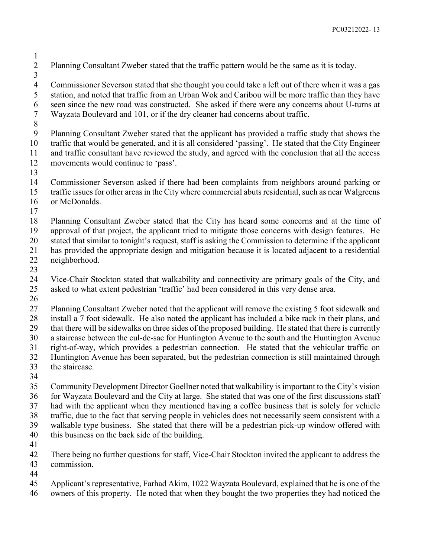Planning Consultant Zweber stated that the traffic pattern would be the same as it is today.

 Commissioner Severson stated that she thought you could take a left out of there when it was a gas station, and noted that traffic from an Urban Wok and Caribou will be more traffic than they have seen since the new road was constructed. She asked if there were any concerns about U-turns at Wayzata Boulevard and 101, or if the dry cleaner had concerns about traffic.

 Planning Consultant Zweber stated that the applicant has provided a traffic study that shows the traffic that would be generated, and it is all considered 'passing'. He stated that the City Engineer and traffic consultant have reviewed the study, and agreed with the conclusion that all the access movements would continue to 'pass'.

Commissioner Severson asked if there had been complaints from neighbors around parking or

- traffic issues for other areas in the City where commercial abuts residential, such as near Walgreens
- or McDonalds.
- 

 Planning Consultant Zweber stated that the City has heard some concerns and at the time of approval of that project, the applicant tried to mitigate those concerns with design features. He stated that similar to tonight's request, staff is asking the Commission to determine if the applicant has provided the appropriate design and mitigation because it is located adjacent to a residential

- neighborhood.
- 

 Vice-Chair Stockton stated that walkability and connectivity are primary goals of the City, and asked to what extent pedestrian 'traffic' had been considered in this very dense area.

 Planning Consultant Zweber noted that the applicant will remove the existing 5 foot sidewalk and install a 7 foot sidewalk. He also noted the applicant has included a bike rack in their plans, and

that there will be sidewalks on three sides of the proposed building. He stated that there is currently

a staircase between the cul-de-sac for Huntington Avenue to the south and the Huntington Avenue

right-of-way, which provides a pedestrian connection. He stated that the vehicular traffic on

- Huntington Avenue has been separated, but the pedestrian connection is still maintained through
- the staircase.
- 

 Community Development Director Goellner noted that walkability is important to the City's vision for Wayzata Boulevard and the City at large. She stated that was one of the first discussions staff had with the applicant when they mentioned having a coffee business that is solely for vehicle traffic, due to the fact that serving people in vehicles does not necessarily seem consistent with a walkable type business. She stated that there will be a pedestrian pick-up window offered with this business on the back side of the building.

 There being no further questions for staff, Vice-Chair Stockton invited the applicant to address the commission.

Applicant's representative, Farhad Akim, 1022 Wayzata Boulevard, explained that he is one of the

owners of this property. He noted that when they bought the two properties they had noticed the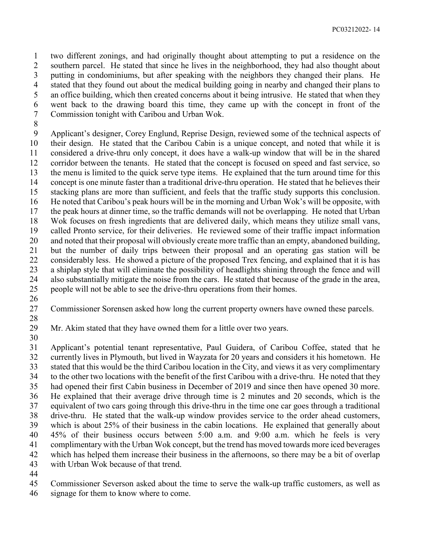two different zonings, and had originally thought about attempting to put a residence on the southern parcel. He stated that since he lives in the neighborhood, they had also thought about putting in condominiums, but after speaking with the neighbors they changed their plans. He stated that they found out about the medical building going in nearby and changed their plans to an office building, which then created concerns about it being intrusive. He stated that when they went back to the drawing board this time, they came up with the concept in front of the Commission tonight with Caribou and Urban Wok.

 Applicant's designer, Corey Englund, Reprise Design, reviewed some of the technical aspects of their design. He stated that the Caribou Cabin is a unique concept, and noted that while it is considered a drive-thru only concept, it does have a walk-up window that will be in the shared corridor between the tenants. He stated that the concept is focused on speed and fast service, so the menu is limited to the quick serve type items. He explained that the turn around time for this concept is one minute faster than a traditional drive-thru operation. He stated that he believes their stacking plans are more than sufficient, and feels that the traffic study supports this conclusion. He noted that Caribou's peak hours will be in the morning and Urban Wok's will be opposite, with the peak hours at dinner time, so the traffic demands will not be overlapping. He noted that Urban Wok focuses on fresh ingredients that are delivered daily, which means they utilize small vans, called Pronto service, for their deliveries. He reviewed some of their traffic impact information and noted that their proposal will obviously create more traffic than an empty, abandoned building, but the number of daily trips between their proposal and an operating gas station will be considerably less. He showed a picture of the proposed Trex fencing, and explained that it is has a shiplap style that will eliminate the possibility of headlights shining through the fence and will also substantially mitigate the noise from the cars. He stated that because of the grade in the area, people will not be able to see the drive-thru operations from their homes.

Commissioner Sorensen asked how long the current property owners have owned these parcels.

Mr. Akim stated that they have owned them for a little over two years.

 Applicant's potential tenant representative, Paul Guidera, of Caribou Coffee, stated that he currently lives in Plymouth, but lived in Wayzata for 20 years and considers it his hometown. He stated that this would be the third Caribou location in the City, and views it as very complimentary to the other two locations with the benefit of the first Caribou with a drive-thru. He noted that they had opened their first Cabin business in December of 2019 and since then have opened 30 more. He explained that their average drive through time is 2 minutes and 20 seconds, which is the equivalent of two cars going through this drive-thru in the time one car goes through a traditional drive-thru. He stated that the walk-up window provides service to the order ahead customers, which is about 25% of their business in the cabin locations. He explained that generally about 45% of their business occurs between 5:00 a.m. and 9:00 a.m. which he feels is very complimentary with the Urban Wok concept, but the trend has moved towards more iced beverages

- which has helped them increase their business in the afternoons, so there may be a bit of overlap with Urban Wok because of that trend.
- 

Commissioner Severson asked about the time to serve the walk-up traffic customers, as well as

signage for them to know where to come.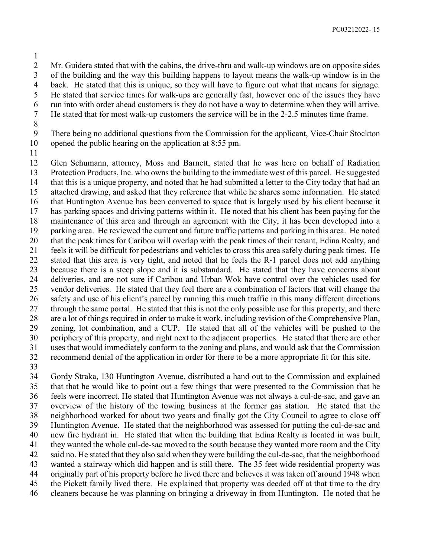Mr. Guidera stated that with the cabins, the drive-thru and walk-up windows are on opposite sides

of the building and the way this building happens to layout means the walk-up window is in the

 back. He stated that this is unique, so they will have to figure out what that means for signage. He stated that service times for walk-ups are generally fast, however one of the issues they have

- run into with order ahead customers is they do not have a way to determine when they will arrive.
- He stated that for most walk-up customers the service will be in the 2-2.5 minutes time frame.
- 

 There being no additional questions from the Commission for the applicant, Vice-Chair Stockton opened the public hearing on the application at 8:55 pm.

 Glen Schumann, attorney, Moss and Barnett, stated that he was here on behalf of Radiation Protection Products, Inc. who owns the building to the immediate west of this parcel. He suggested that this is a unique property, and noted that he had submitted a letter to the City today that had an attached drawing, and asked that they reference that while he shares some information. He stated that Huntington Avenue has been converted to space that is largely used by his client because it has parking spaces and driving patterns within it. He noted that his client has been paying for the maintenance of this area and through an agreement with the City, it has been developed into a parking area. He reviewed the current and future traffic patterns and parking in this area. He noted that the peak times for Caribou will overlap with the peak times of their tenant, Edina Realty, and feels it will be difficult for pedestrians and vehicles to cross this area safely during peak times. He stated that this area is very tight, and noted that he feels the R-1 parcel does not add anything because there is a steep slope and it is substandard. He stated that they have concerns about deliveries, and are not sure if Caribou and Urban Wok have control over the vehicles used for vendor deliveries. He stated that they feel there are a combination of factors that will change the safety and use of his client's parcel by running this much traffic in this many different directions through the same portal. He stated that this is not the only possible use for this property, and there are a lot of things required in order to make it work, including revision of the Comprehensive Plan, zoning, lot combination, and a CUP. He stated that all of the vehicles will be pushed to the periphery of this property, and right next to the adjacent properties. He stated that there are other uses that would immediately conform to the zoning and plans, and would ask that the Commission recommend denial of the application in order for there to be a more appropriate fit for this site.

 Gordy Straka, 130 Huntington Avenue, distributed a hand out to the Commission and explained that that he would like to point out a few things that were presented to the Commission that he feels were incorrect. He stated that Huntington Avenue was not always a cul-de-sac, and gave an overview of the history of the towing business at the former gas station. He stated that the neighborhood worked for about two years and finally got the City Council to agree to close off Huntington Avenue. He stated that the neighborhood was assessed for putting the cul-de-sac and new fire hydrant in. He stated that when the building that Edina Realty is located in was built, they wanted the whole cul-de-sac moved to the south because they wanted more room and the City said no. He stated that they also said when they were building the cul-de-sac, that the neighborhood wanted a stairway which did happen and is still there. The 35 feet wide residential property was originally part of his property before he lived there and believes it was taken off around 1948 when the Pickett family lived there. He explained that property was deeded off at that time to the dry cleaners because he was planning on bringing a driveway in from Huntington. He noted that he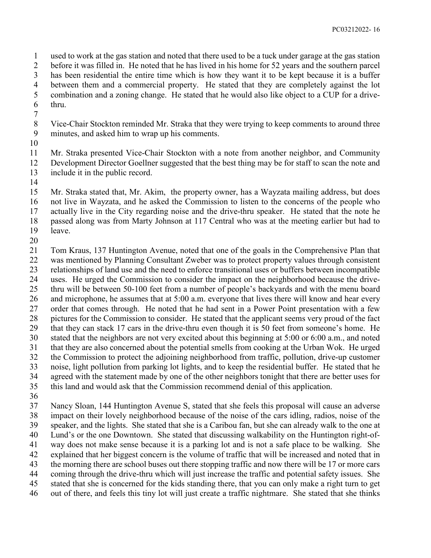used to work at the gas station and noted that there used to be a tuck under garage at the gas station before it was filled in. He noted that he has lived in his home for 52 years and the southern parcel has been residential the entire time which is how they want it to be kept because it is a buffer between them and a commercial property. He stated that they are completely against the lot combination and a zoning change. He stated that he would also like object to a CUP for a drive-thru.

- Vice-Chair Stockton reminded Mr. Straka that they were trying to keep comments to around three minutes, and asked him to wrap up his comments.
- 

 Mr. Straka presented Vice-Chair Stockton with a note from another neighbor, and Community Development Director Goellner suggested that the best thing may be for staff to scan the note and include it in the public record.

 Mr. Straka stated that, Mr. Akim, the property owner, has a Wayzata mailing address, but does not live in Wayzata, and he asked the Commission to listen to the concerns of the people who actually live in the City regarding noise and the drive-thru speaker. He stated that the note he passed along was from Marty Johnson at 117 Central who was at the meeting earlier but had to leave.

 Tom Kraus, 137 Huntington Avenue, noted that one of the goals in the Comprehensive Plan that was mentioned by Planning Consultant Zweber was to protect property values through consistent relationships of land use and the need to enforce transitional uses or buffers between incompatible uses. He urged the Commission to consider the impact on the neighborhood because the drive- thru will be between 50-100 feet from a number of people's backyards and with the menu board and microphone, he assumes that at 5:00 a.m. everyone that lives there will know and hear every order that comes through. He noted that he had sent in a Power Point presentation with a few pictures for the Commission to consider. He stated that the applicant seems very proud of the fact that they can stack 17 cars in the drive-thru even though it is 50 feet from someone's home. He stated that the neighbors are not very excited about this beginning at 5:00 or 6:00 a.m., and noted that they are also concerned about the potential smells from cooking at the Urban Wok. He urged the Commission to protect the adjoining neighborhood from traffic, pollution, drive-up customer noise, light pollution from parking lot lights, and to keep the residential buffer. He stated that he agreed with the statement made by one of the other neighbors tonight that there are better uses for this land and would ask that the Commission recommend denial of this application.

 Nancy Sloan, 144 Huntington Avenue S, stated that she feels this proposal will cause an adverse impact on their lovely neighborhood because of the noise of the cars idling, radios, noise of the speaker, and the lights. She stated that she is a Caribou fan, but she can already walk to the one at Lund's or the one Downtown. She stated that discussing walkability on the Huntington right-of- way does not make sense because it is a parking lot and is not a safe place to be walking. She explained that her biggest concern is the volume of traffic that will be increased and noted that in the morning there are school buses out there stopping traffic and now there will be 17 or more cars coming through the drive-thru which will just increase the traffic and potential safety issues. She stated that she is concerned for the kids standing there, that you can only make a right turn to get out of there, and feels this tiny lot will just create a traffic nightmare. She stated that she thinks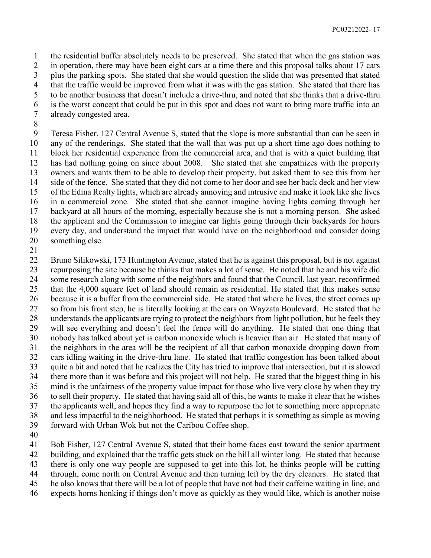the residential buffer absolutely needs to be preserved. She stated that when the gas station was in operation, there may have been eight cars at a time there and this proposal talks about 17 cars plus the parking spots. She stated that she would question the slide that was presented that stated that the traffic would be improved from what it was with the gas station. She stated that there has to be another business that doesn't include a drive-thru, and noted that she thinks that a drive-thru is the worst concept that could be put in this spot and does not want to bring more traffic into an already congested area.

 Teresa Fisher, 127 Central Avenue S, stated that the slope is more substantial than can be seen in any of the renderings. She stated that the wall that was put up a short time ago does nothing to block her residential experience from the commercial area, and that is with a quiet building that has had nothing going on since about 2008. She stated that she empathizes with the property owners and wants them to be able to develop their property, but asked them to see this from her side of the fence. She stated that they did not come to her door and see her back deck and her view of the Edina Realty lights, which are already annoying and intrusive and make it look like she lives in a commercial zone. She stated that she cannot imagine having lights coming through her backyard at all hours of the morning, especially because she is not a morning person. She asked the applicant and the Commission to imagine car lights going through their backyards for hours every day, and understand the impact that would have on the neighborhood and consider doing something else.

 Bruno Silikowski, 173 Huntington Avenue, stated that he is against this proposal, but is not against repurposing the site because he thinks that makes a lot of sense. He noted that he and his wife did some research along with some of the neighbors and found that the Council, last year, reconfirmed that the 4,000 square feet of land should remain as residential. He stated that this makes sense because it is a buffer from the commercial side. He stated that where he lives, the street comes up so from his front step, he is literally looking at the cars on Wayzata Boulevard. He stated that he understands the applicants are trying to protect the neighbors from light pollution, but he feels they will see everything and doesn't feel the fence will do anything. He stated that one thing that nobody has talked about yet is carbon monoxide which is heavier than air. He stated that many of the neighbors in the area will be the recipient of all that carbon monoxide dropping down from cars idling waiting in the drive-thru lane. He stated that traffic congestion has been talked about quite a bit and noted that he realizes the City has tried to improve that intersection, but it is slowed there more than it was before and this project will not help. He stated that the biggest thing in his mind is the unfairness of the property value impact for those who live very close by when they try to sell their property. He stated that having said all of this, he wants to make it clear that he wishes the applicants well, and hopes they find a way to repurpose the lot to something more appropriate and less impactful to the neighborhood. He stated that perhaps it is something as simple as moving forward with Urban Wok but not the Caribou Coffee shop.

 Bob Fisher, 127 Central Avenue S, stated that their home faces east toward the senior apartment building, and explained that the traffic gets stuck on the hill all winter long. He stated that because

there is only one way people are supposed to get into this lot, he thinks people will be cutting

through, come north on Central Avenue and then turning left by the dry cleaners. He stated that

he also knows that there will be a lot of people that have not had their caffeine waiting in line, and

expects horns honking if things don't move as quickly as they would like, which is another noise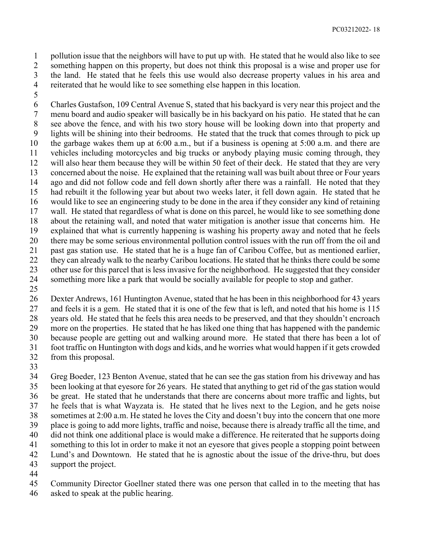pollution issue that the neighbors will have to put up with. He stated that he would also like to see something happen on this property, but does not think this proposal is a wise and proper use for the land. He stated that he feels this use would also decrease property values in his area and reiterated that he would like to see something else happen in this location.

 Charles Gustafson, 109 Central Avenue S, stated that his backyard is very near this project and the menu board and audio speaker will basically be in his backyard on his patio. He stated that he can see above the fence, and with his two story house will be looking down into that property and lights will be shining into their bedrooms. He stated that the truck that comes through to pick up the garbage wakes them up at 6:00 a.m., but if a business is opening at 5:00 a.m. and there are vehicles including motorcycles and big trucks or anybody playing music coming through, they will also hear them because they will be within 50 feet of their deck. He stated that they are very concerned about the noise. He explained that the retaining wall was built about three or Four years ago and did not follow code and fell down shortly after there was a rainfall. He noted that they had rebuilt it the following year but about two weeks later, it fell down again. He stated that he would like to see an engineering study to be done in the area if they consider any kind of retaining wall. He stated that regardless of what is done on this parcel, he would like to see something done about the retaining wall, and noted that water mitigation is another issue that concerns him. He explained that what is currently happening is washing his property away and noted that he feels there may be some serious environmental pollution control issues with the run off from the oil and past gas station use. He stated that he is a huge fan of Caribou Coffee, but as mentioned earlier, they can already walk to the nearby Caribou locations. He stated that he thinks there could be some other use for this parcel that is less invasive for the neighborhood. He suggested that they consider something more like a park that would be socially available for people to stop and gather.

 Dexter Andrews, 161 Huntington Avenue, stated that he has been in this neighborhood for 43 years 27 and feels it is a gem. He stated that it is one of the few that is left, and noted that his home is 115 years old. He stated that he feels this area needs to be preserved, and that they shouldn't encroach more on the properties. He stated that he has liked one thing that has happened with the pandemic because people are getting out and walking around more. He stated that there has been a lot of foot traffic on Huntington with dogs and kids, and he worries what would happen if it gets crowded from this proposal.

 Greg Boeder, 123 Benton Avenue, stated that he can see the gas station from his driveway and has been looking at that eyesore for 26 years. He stated that anything to get rid of the gas station would be great. He stated that he understands that there are concerns about more traffic and lights, but he feels that is what Wayzata is. He stated that he lives next to the Legion, and he gets noise sometimes at 2:00 a.m. He stated he loves the City and doesn't buy into the concern that one more place is going to add more lights, traffic and noise, because there is already traffic all the time, and did not think one additional place is would make a difference. He reiterated that he supports doing something to this lot in order to make it not an eyesore that gives people a stopping point between Lund's and Downtown. He stated that he is agnostic about the issue of the drive-thru, but does support the project.

Community Director Goellner stated there was one person that called in to the meeting that has

asked to speak at the public hearing.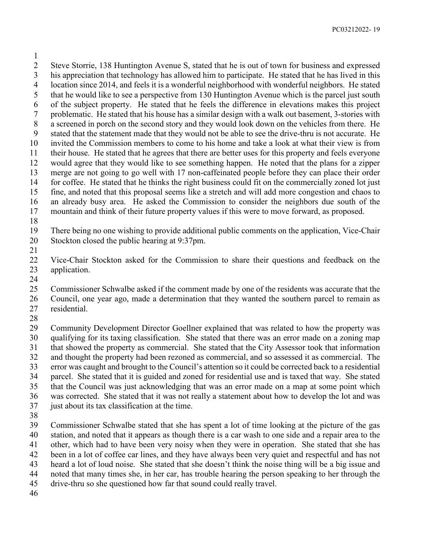Steve Storrie, 138 Huntington Avenue S, stated that he is out of town for business and expressed his appreciation that technology has allowed him to participate. He stated that he has lived in this location since 2014, and feels it is a wonderful neighborhood with wonderful neighbors. He stated that he would like to see a perspective from 130 Huntington Avenue which is the parcel just south of the subject property. He stated that he feels the difference in elevations makes this project problematic. He stated that his house has a similar design with a walk out basement, 3-stories with a screened in porch on the second story and they would look down on the vehicles from there. He stated that the statement made that they would not be able to see the drive-thru is not accurate. He invited the Commission members to come to his home and take a look at what their view is from their house. He stated that he agrees that there are better uses for this property and feels everyone would agree that they would like to see something happen. He noted that the plans for a zipper merge are not going to go well with 17 non-caffeinated people before they can place their order for coffee. He stated that he thinks the right business could fit on the commercially zoned lot just fine, and noted that this proposal seems like a stretch and will add more congestion and chaos to an already busy area. He asked the Commission to consider the neighbors due south of the mountain and think of their future property values if this were to move forward, as proposed.

 There being no one wishing to provide additional public comments on the application, Vice-Chair Stockton closed the public hearing at 9:37pm.

 Vice-Chair Stockton asked for the Commission to share their questions and feedback on the application.

 Commissioner Schwalbe asked if the comment made by one of the residents was accurate that the Council, one year ago, made a determination that they wanted the southern parcel to remain as residential.

 Community Development Director Goellner explained that was related to how the property was qualifying for its taxing classification. She stated that there was an error made on a zoning map that showed the property as commercial. She stated that the City Assessor took that information and thought the property had been rezoned as commercial, and so assessed it as commercial. The error was caught and brought to the Council's attention so it could be corrected back to a residential parcel. She stated that it is guided and zoned for residential use and is taxed that way. She stated that the Council was just acknowledging that was an error made on a map at some point which was corrected. She stated that it was not really a statement about how to develop the lot and was just about its tax classification at the time.

 Commissioner Schwalbe stated that she has spent a lot of time looking at the picture of the gas station, and noted that it appears as though there is a car wash to one side and a repair area to the other, which had to have been very noisy when they were in operation. She stated that she has been in a lot of coffee car lines, and they have always been very quiet and respectful and has not heard a lot of loud noise. She stated that she doesn't think the noise thing will be a big issue and noted that many times she, in her car, has trouble hearing the person speaking to her through the drive-thru so she questioned how far that sound could really travel.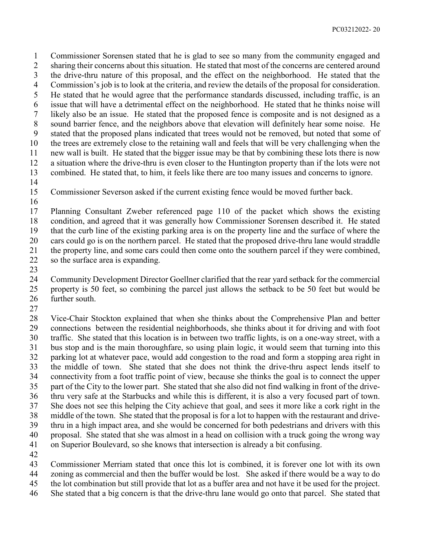Commissioner Sorensen stated that he is glad to see so many from the community engaged and sharing their concerns about this situation. He stated that most of the concerns are centered around the drive-thru nature of this proposal, and the effect on the neighborhood. He stated that the Commission's job is to look at the criteria, and review the details of the proposal for consideration. He stated that he would agree that the performance standards discussed, including traffic, is an issue that will have a detrimental effect on the neighborhood. He stated that he thinks noise will likely also be an issue. He stated that the proposed fence is composite and is not designed as a sound barrier fence, and the neighbors above that elevation will definitely hear some noise. He stated that the proposed plans indicated that trees would not be removed, but noted that some of the trees are extremely close to the retaining wall and feels that will be very challenging when the new wall is built. He stated that the bigger issue may be that by combining these lots there is now a situation where the drive-thru is even closer to the Huntington property than if the lots were not combined. He stated that, to him, it feels like there are too many issues and concerns to ignore.

Commissioner Severson asked if the current existing fence would be moved further back.

 Planning Consultant Zweber referenced page 110 of the packet which shows the existing condition, and agreed that it was generally how Commissioner Sorensen described it. He stated that the curb line of the existing parking area is on the property line and the surface of where the cars could go is on the northern parcel. He stated that the proposed drive-thru lane would straddle the property line, and some cars could then come onto the southern parcel if they were combined,

- so the surface area is expanding.
- 

 Community Development Director Goellner clarified that the rear yard setback for the commercial property is 50 feet, so combining the parcel just allows the setback to be 50 feet but would be further south. 

 Vice-Chair Stockton explained that when she thinks about the Comprehensive Plan and better connections between the residential neighborhoods, she thinks about it for driving and with foot traffic. She stated that this location is in between two traffic lights, is on a one-way street, with a bus stop and is the main thoroughfare, so using plain logic, it would seem that turning into this parking lot at whatever pace, would add congestion to the road and form a stopping area right in the middle of town. She stated that she does not think the drive-thru aspect lends itself to connectivity from a foot traffic point of view, because she thinks the goal is to connect the upper part of the City to the lower part. She stated that she also did not find walking in front of the drive- thru very safe at the Starbucks and while this is different, it is also a very focused part of town. She does not see this helping the City achieve that goal, and sees it more like a cork right in the middle of the town. She stated that the proposal is for a lot to happen with the restaurant and drive- thru in a high impact area, and she would be concerned for both pedestrians and drivers with this proposal. She stated that she was almost in a head on collision with a truck going the wrong way on Superior Boulevard, so she knows that intersection is already a bit confusing.

Commissioner Merriam stated that once this lot is combined, it is forever one lot with its own

zoning as commercial and then the buffer would be lost. She asked if there would be a way to do

- the lot combination but still provide that lot as a buffer area and not have it be used for the project.
- She stated that a big concern is that the drive-thru lane would go onto that parcel. She stated that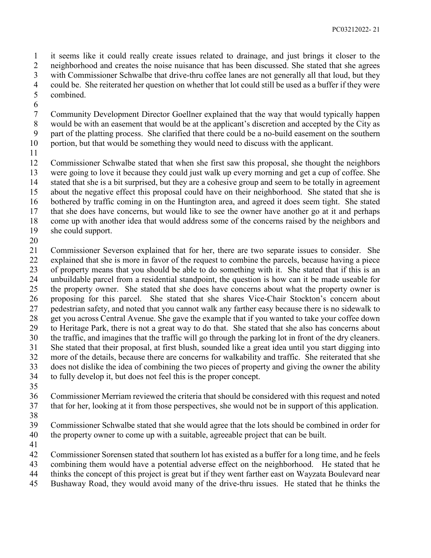it seems like it could really create issues related to drainage, and just brings it closer to the neighborhood and creates the noise nuisance that has been discussed. She stated that she agrees with Commissioner Schwalbe that drive-thru coffee lanes are not generally all that loud, but they

- 4 could be. She reiterated her question on whether that lot could still be used as a buffer if they were<br>5 combined. combined.
- 
- Community Development Director Goellner explained that the way that would typically happen would be with an easement that would be at the applicant's discretion and accepted by the City as
- part of the platting process. She clarified that there could be a no-build easement on the southern
- portion, but that would be something they would need to discuss with the applicant.
- 

 Commissioner Schwalbe stated that when she first saw this proposal, she thought the neighbors were going to love it because they could just walk up every morning and get a cup of coffee. She stated that she is a bit surprised, but they are a cohesive group and seem to be totally in agreement about the negative effect this proposal could have on their neighborhood. She stated that she is bothered by traffic coming in on the Huntington area, and agreed it does seem tight. She stated that she does have concerns, but would like to see the owner have another go at it and perhaps come up with another idea that would address some of the concerns raised by the neighbors and

- she could support.
- 

 Commissioner Severson explained that for her, there are two separate issues to consider. She explained that she is more in favor of the request to combine the parcels, because having a piece of property means that you should be able to do something with it. She stated that if this is an unbuildable parcel from a residential standpoint, the question is how can it be made useable for the property owner. She stated that she does have concerns about what the property owner is proposing for this parcel. She stated that she shares Vice-Chair Stockton's concern about pedestrian safety, and noted that you cannot walk any farther easy because there is no sidewalk to get you across Central Avenue. She gave the example that if you wanted to take your coffee down to Heritage Park, there is not a great way to do that. She stated that she also has concerns about the traffic, and imagines that the traffic will go through the parking lot in front of the dry cleaners. She stated that their proposal, at first blush, sounded like a great idea until you start digging into more of the details, because there are concerns for walkability and traffic. She reiterated that she does not dislike the idea of combining the two pieces of property and giving the owner the ability to fully develop it, but does not feel this is the proper concept.

 Commissioner Merriam reviewed the criteria that should be considered with this request and noted that for her, looking at it from those perspectives, she would not be in support of this application.

- 
- Commissioner Schwalbe stated that she would agree that the lots should be combined in order for the property owner to come up with a suitable, agreeable project that can be built.
- 

Commissioner Sorensen stated that southern lot has existed as a buffer for a long time, and he feels

- combining them would have a potential adverse effect on the neighborhood. He stated that he
- thinks the concept of this project is great but if they went farther east on Wayzata Boulevard near
- Bushaway Road, they would avoid many of the drive-thru issues. He stated that he thinks the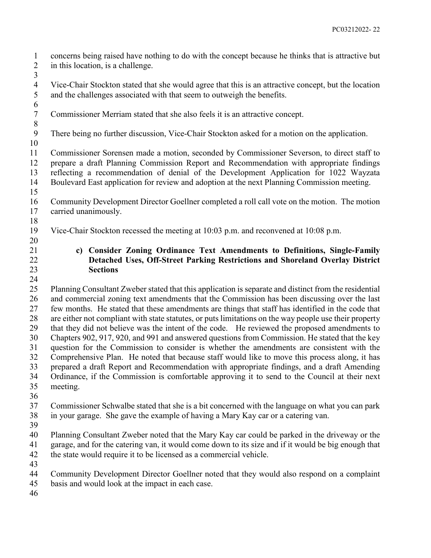concerns being raised have nothing to do with the concept because he thinks that is attractive but 2 in this location, is a challenge. 

4 Vice-Chair Stockton stated that she would agree that this is an attractive concept, but the location<br>5 and the challenges associated with that seem to outweigh the benefits. and the challenges associated with that seem to outweigh the benefits.

Commissioner Merriam stated that she also feels it is an attractive concept.

There being no further discussion, Vice-Chair Stockton asked for a motion on the application.

 Commissioner Sorensen made a motion, seconded by Commissioner Severson, to direct staff to prepare a draft Planning Commission Report and Recommendation with appropriate findings reflecting a recommendation of denial of the Development Application for 1022 Wayzata Boulevard East application for review and adoption at the next Planning Commission meeting.

- Community Development Director Goellner completed a roll call vote on the motion. The motion
- carried unanimously.
- Vice-Chair Stockton recessed the meeting at 10:03 p.m. and reconvened at 10:08 p.m.
- **c) Consider Zoning Ordinance Text Amendments to Definitions, Single-Family Detached Uses, Off-Street Parking Restrictions and Shoreland Overlay District Sections**
- 

 Planning Consultant Zweber stated that this application is separate and distinct from the residential and commercial zoning text amendments that the Commission has been discussing over the last few months. He stated that these amendments are things that staff has identified in the code that are either not compliant with state statutes, or puts limitations on the way people use their property that they did not believe was the intent of the code. He reviewed the proposed amendments to Chapters 902, 917, 920, and 991 and answered questions from Commission. He stated that the key question for the Commission to consider is whether the amendments are consistent with the Comprehensive Plan. He noted that because staff would like to move this process along, it has prepared a draft Report and Recommendation with appropriate findings, and a draft Amending Ordinance, if the Commission is comfortable approving it to send to the Council at their next meeting.

 Commissioner Schwalbe stated that she is a bit concerned with the language on what you can park in your garage. She gave the example of having a Mary Kay car or a catering van.

 Planning Consultant Zweber noted that the Mary Kay car could be parked in the driveway or the garage, and for the catering van, it would come down to its size and if it would be big enough that the state would require it to be licensed as a commercial vehicle.

- 
- Community Development Director Goellner noted that they would also respond on a complaint
- basis and would look at the impact in each case.
-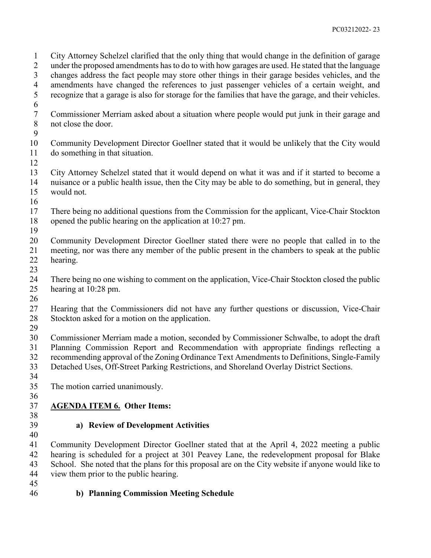City Attorney Schelzel clarified that the only thing that would change in the definition of garage under the proposed amendments has to do to with how garages are used. He stated that the language changes address the fact people may store other things in their garage besides vehicles, and the 4 amendments have changed the references to just passenger vehicles of a certain weight, and<br>5 recognize that a garage is also for storage for the families that have the garage, and their vehicles. recognize that a garage is also for storage for the families that have the garage, and their vehicles. Commissioner Merriam asked about a situation where people would put junk in their garage and not close the door. Community Development Director Goellner stated that it would be unlikely that the City would do something in that situation. City Attorney Schelzel stated that it would depend on what it was and if it started to become a nuisance or a public health issue, then the City may be able to do something, but in general, they would not. There being no additional questions from the Commission for the applicant, Vice-Chair Stockton opened the public hearing on the application at 10:27 pm. Community Development Director Goellner stated there were no people that called in to the meeting, nor was there any member of the public present in the chambers to speak at the public hearing. There being no one wishing to comment on the application, Vice-Chair Stockton closed the public hearing at 10:28 pm. 

- Hearing that the Commissioners did not have any further questions or discussion, Vice-Chair Stockton asked for a motion on the application.
- 
- Commissioner Merriam made a motion, seconded by Commissioner Schwalbe, to adopt the draft
	- Planning Commission Report and Recommendation with appropriate findings reflecting a
	- recommending approval of the Zoning Ordinance Text Amendments to Definitions, Single-Family
	- Detached Uses, Off-Street Parking Restrictions, and Shoreland Overlay District Sections.
	-
	- The motion carried unanimously.
	-

#### **AGENDA ITEM 6. Other Items:**

# **a) Review of Development Activities**

 Community Development Director Goellner stated that at the April 4, 2022 meeting a public hearing is scheduled for a project at 301 Peavey Lane, the redevelopment proposal for Blake School. She noted that the plans for this proposal are on the City website if anyone would like to view them prior to the public hearing.

# **b) Planning Commission Meeting Schedule**